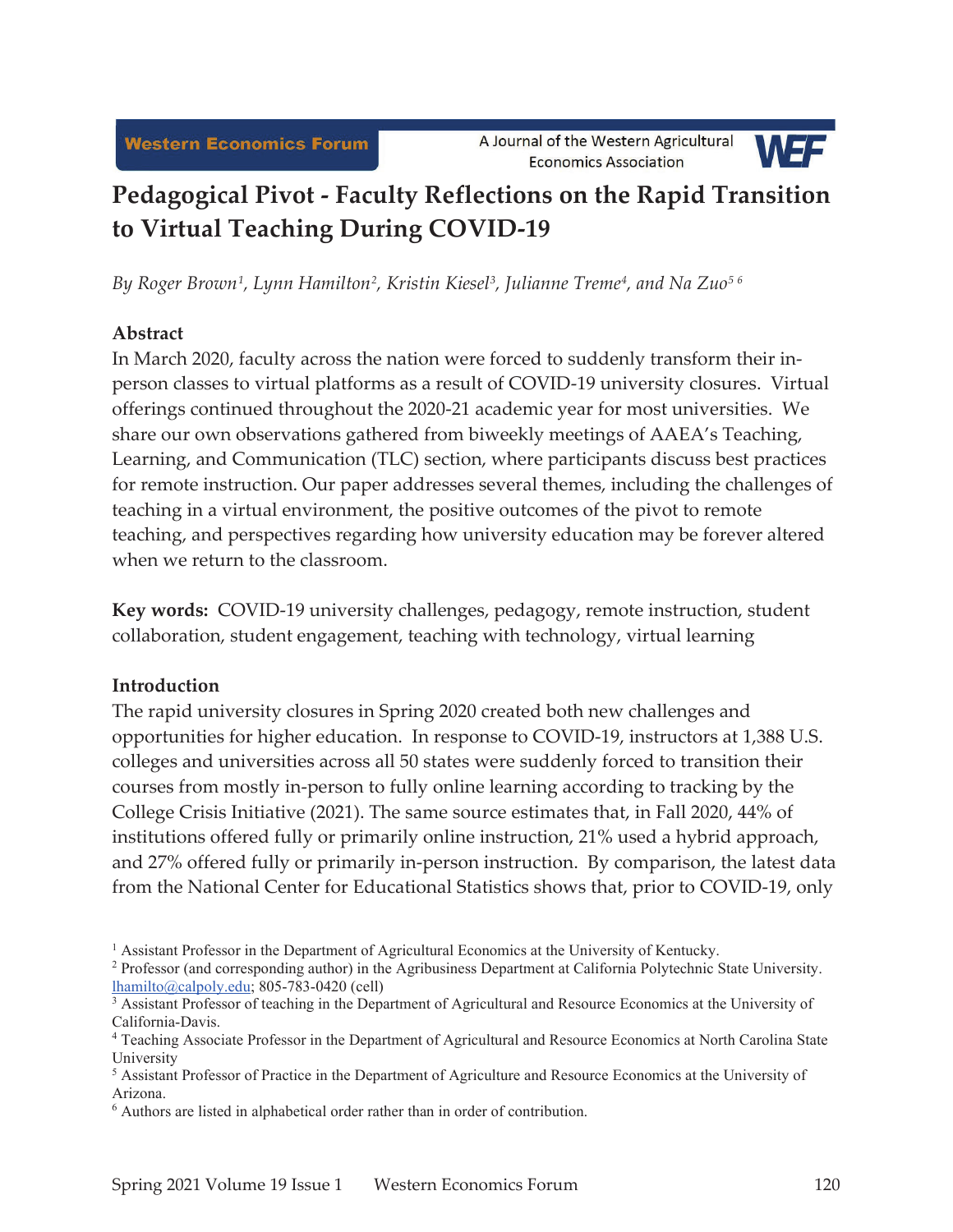

# **Pedagogical Pivot - Faculty Reflections on the Rapid Transition to Virtual Teaching During COVID-19**

*By Roger Brown1, Lynn Hamilton2, Kristin Kiesel3, Julianne Treme4, and Na Zuo5 6*

## **Abstract**

In March 2020, faculty across the nation were forced to suddenly transform their inperson classes to virtual platforms as a result of COVID-19 university closures. Virtual offerings continued throughout the 2020-21 academic year for most universities. We share our own observations gathered from biweekly meetings of AAEA's Teaching, Learning, and Communication (TLC) section, where participants discuss best practices for remote instruction. Our paper addresses several themes, including the challenges of teaching in a virtual environment, the positive outcomes of the pivot to remote teaching, and perspectives regarding how university education may be forever altered when we return to the classroom.

**Key words:** COVID-19 university challenges, pedagogy, remote instruction, student collaboration, student engagement, teaching with technology, virtual learning

## **Introduction**

The rapid university closures in Spring 2020 created both new challenges and opportunities for higher education. In response to COVID-19, instructors at 1,388 U.S. colleges and universities across all 50 states were suddenly forced to transition their courses from mostly in-person to fully online learning according to tracking by the College Crisis Initiative (2021). The same source estimates that, in Fall 2020, 44% of institutions offered fully or primarily online instruction, 21% used a hybrid approach, and 27% offered fully or primarily in-person instruction. By comparison, the latest data from the National Center for Educational Statistics shows that, prior to COVID-19, only

<sup>1</sup> Assistant Professor in the Department of Agricultural Economics at the University of Kentucky.

<sup>&</sup>lt;sup>2</sup> Professor (and corresponding author) in the Agribusiness Department at California Polytechnic State University.  $lhamilto@calpoly.edu; 805-783-0420$  (cell)

<sup>&</sup>lt;sup>3</sup> Assistant Professor of teaching in the Department of Agricultural and Resource Economics at the University of California-Davis.

<sup>4</sup> Teaching Associate Professor in the Department of Agricultural and Resource Economics at North Carolina State University

<sup>&</sup>lt;sup>5</sup> Assistant Professor of Practice in the Department of Agriculture and Resource Economics at the University of Arizona.

<sup>&</sup>lt;sup>6</sup> Authors are listed in alphabetical order rather than in order of contribution.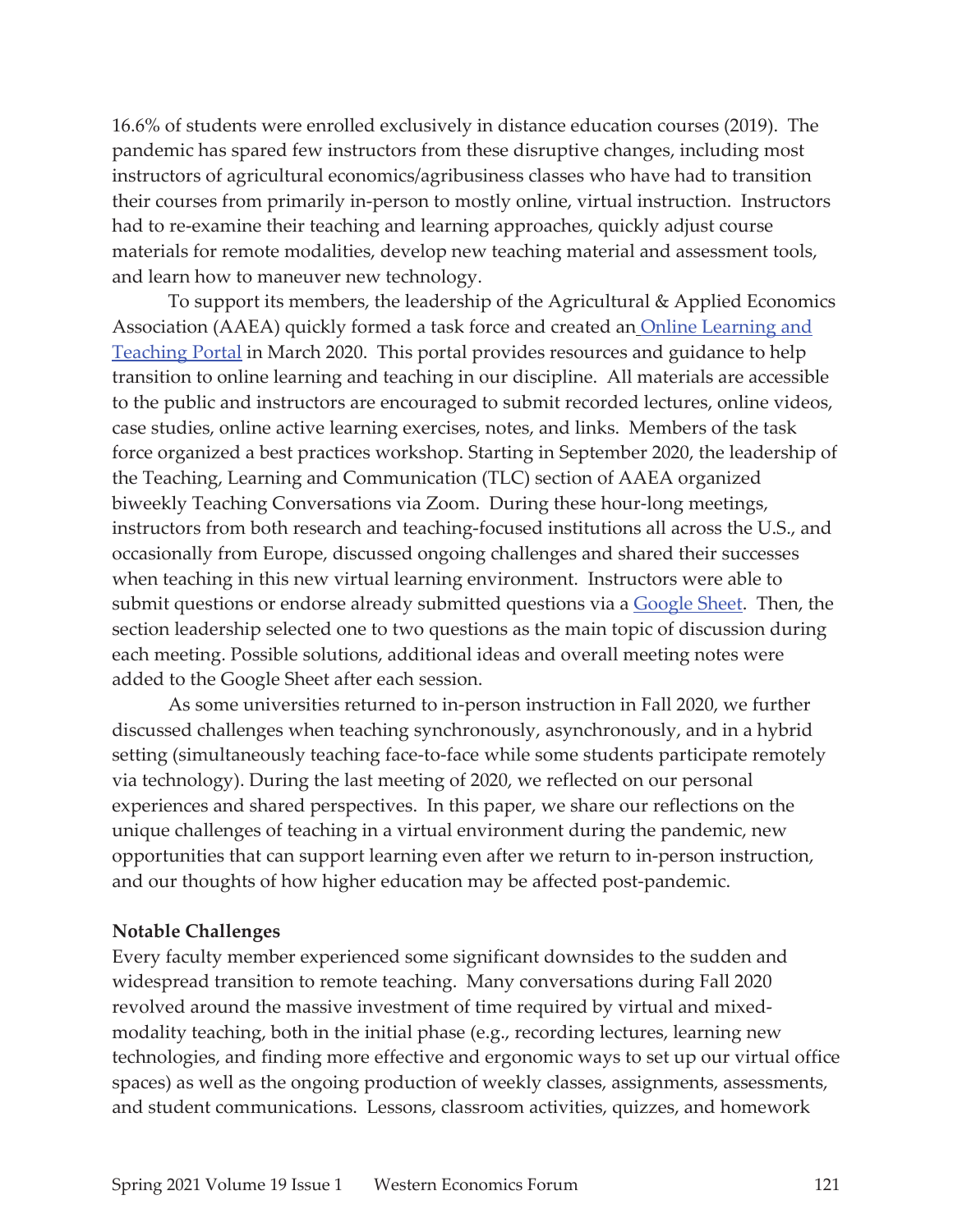16.6% of students were enrolled exclusively in distance education courses (2019). The pandemic has spared few instructors from these disruptive changes, including most instructors of agricultural economics/agribusiness classes who have had to transition their courses from primarily in-person to mostly online, virtual instruction. Instructors had to re-examine their teaching and learning approaches, quickly adjust course materials for remote modalities, develop new teaching material and assessment tools, and learn how to maneuver new technology.

To support its members, the leadership of the Agricultural & Applied Economics Association (AAEA) quickly formed a task force and created an Online Learning and Teaching Portal in March 2020. This portal provides resources and guidance to help transition to online learning and teaching in our discipline. All materials are accessible to the public and instructors are encouraged to submit recorded lectures, online videos, case studies, online active learning exercises, notes, and links. Members of the task force organized a best practices workshop. Starting in September 2020, the leadership of the Teaching, Learning and Communication (TLC) section of AAEA organized biweekly Teaching Conversations via Zoom. During these hour-long meetings, instructors from both research and teaching-focused institutions all across the U.S., and occasionally from Europe, discussed ongoing challenges and shared their successes when teaching in this new virtual learning environment. Instructors were able to submit questions or endorse already submitted questions via a **Google Sheet**. Then, the section leadership selected one to two questions as the main topic of discussion during each meeting. Possible solutions, additional ideas and overall meeting notes were added to the Google Sheet after each session.

As some universities returned to in-person instruction in Fall 2020, we further discussed challenges when teaching synchronously, asynchronously, and in a hybrid setting (simultaneously teaching face-to-face while some students participate remotely via technology). During the last meeting of 2020, we reflected on our personal experiences and shared perspectives. In this paper, we share our reflections on the unique challenges of teaching in a virtual environment during the pandemic, new opportunities that can support learning even after we return to in-person instruction, and our thoughts of how higher education may be affected post-pandemic.

### **Notable Challenges**

Every faculty member experienced some significant downsides to the sudden and widespread transition to remote teaching. Many conversations during Fall 2020 revolved around the massive investment of time required by virtual and mixedmodality teaching, both in the initial phase (e.g., recording lectures, learning new technologies, and finding more effective and ergonomic ways to set up our virtual office spaces) as well as the ongoing production of weekly classes, assignments, assessments, and student communications. Lessons, classroom activities, quizzes, and homework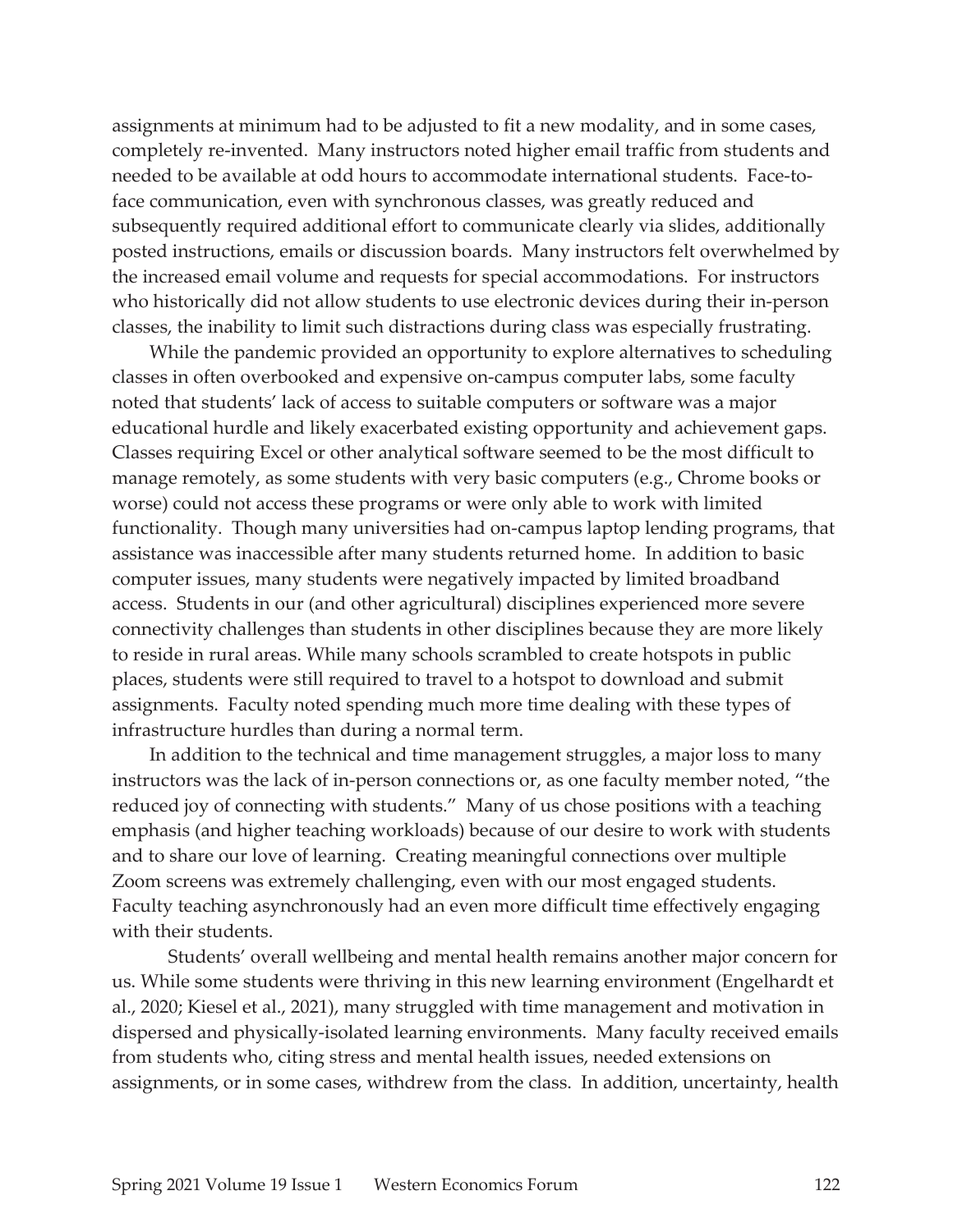assignments at minimum had to be adjusted to fit a new modality, and in some cases, completely re-invented. Many instructors noted higher email traffic from students and needed to be available at odd hours to accommodate international students. Face-toface communication, even with synchronous classes, was greatly reduced and subsequently required additional effort to communicate clearly via slides, additionally posted instructions, emails or discussion boards. Many instructors felt overwhelmed by the increased email volume and requests for special accommodations. For instructors who historically did not allow students to use electronic devices during their in-person classes, the inability to limit such distractions during class was especially frustrating.

 While the pandemic provided an opportunity to explore alternatives to scheduling classes in often overbooked and expensive on-campus computer labs, some faculty noted that students' lack of access to suitable computers or software was a major educational hurdle and likely exacerbated existing opportunity and achievement gaps. Classes requiring Excel or other analytical software seemed to be the most difficult to manage remotely, as some students with very basic computers (e.g., Chrome books or worse) could not access these programs or were only able to work with limited functionality. Though many universities had on-campus laptop lending programs, that assistance was inaccessible after many students returned home. In addition to basic computer issues, many students were negatively impacted by limited broadband access. Students in our (and other agricultural) disciplines experienced more severe connectivity challenges than students in other disciplines because they are more likely to reside in rural areas. While many schools scrambled to create hotspots in public places, students were still required to travel to a hotspot to download and submit assignments. Faculty noted spending much more time dealing with these types of infrastructure hurdles than during a normal term.

 In addition to the technical and time management struggles, a major loss to many instructors was the lack of in-person connections or, as one faculty member noted, "the reduced joy of connecting with students." Many of us chose positions with a teaching emphasis (and higher teaching workloads) because of our desire to work with students and to share our love of learning. Creating meaningful connections over multiple Zoom screens was extremely challenging, even with our most engaged students. Faculty teaching asynchronously had an even more difficult time effectively engaging with their students.

 Students' overall wellbeing and mental health remains another major concern for us. While some students were thriving in this new learning environment (Engelhardt et al., 2020; Kiesel et al., 2021), many struggled with time management and motivation in dispersed and physically-isolated learning environments. Many faculty received emails from students who, citing stress and mental health issues, needed extensions on assignments, or in some cases, withdrew from the class. In addition, uncertainty, health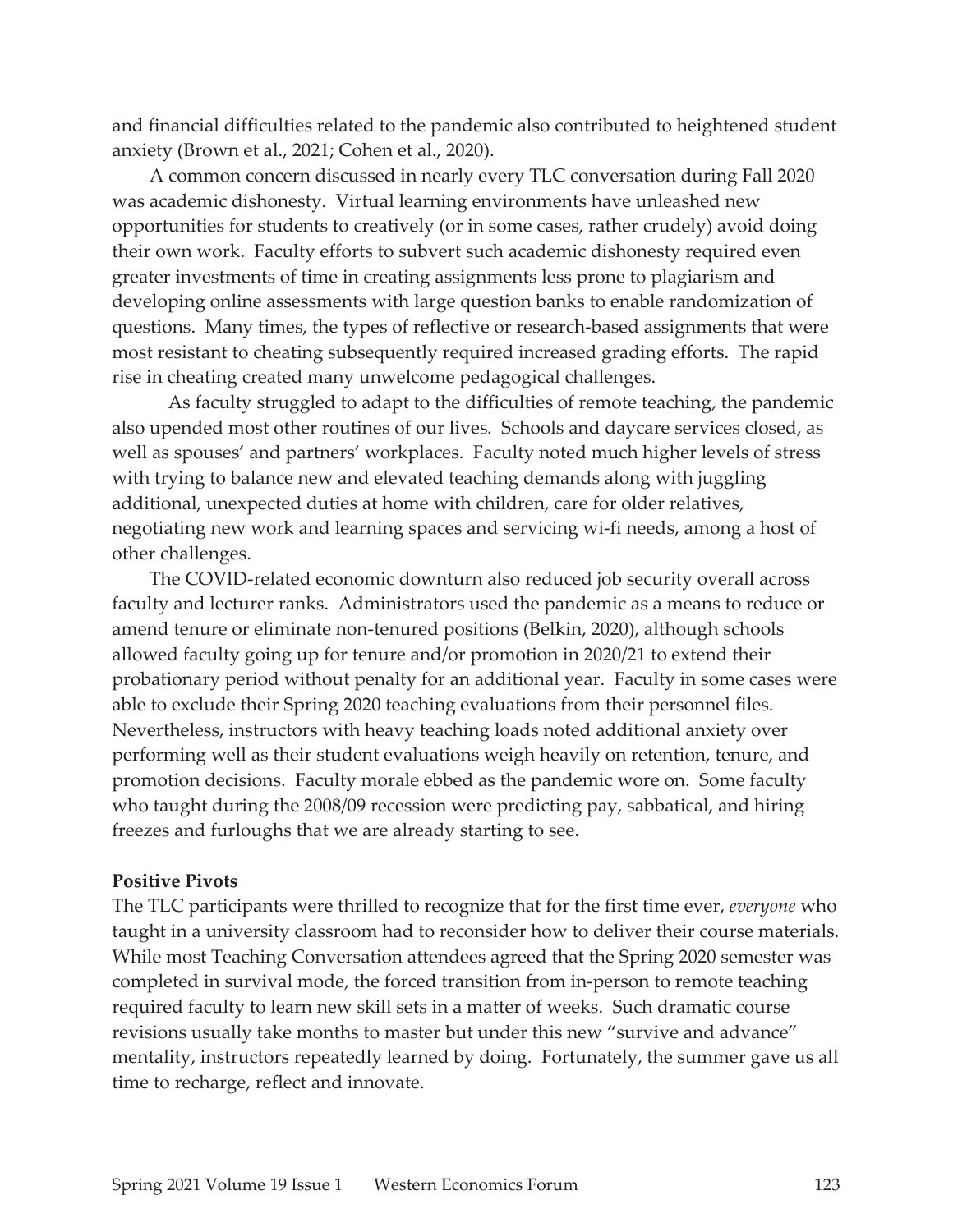and financial difficulties related to the pandemic also contributed to heightened student anxiety (Brown et al., 2021; Cohen et al., 2020).

 A common concern discussed in nearly every TLC conversation during Fall 2020 was academic dishonesty. Virtual learning environments have unleashed new opportunities for students to creatively (or in some cases, rather crudely) avoid doing their own work. Faculty efforts to subvert such academic dishonesty required even greater investments of time in creating assignments less prone to plagiarism and developing online assessments with large question banks to enable randomization of questions. Many times, the types of reflective or research-based assignments that were most resistant to cheating subsequently required increased grading efforts. The rapid rise in cheating created many unwelcome pedagogical challenges.

 As faculty struggled to adapt to the difficulties of remote teaching, the pandemic also upended most other routines of our lives. Schools and daycare services closed, as well as spouses' and partners' workplaces. Faculty noted much higher levels of stress with trying to balance new and elevated teaching demands along with juggling additional, unexpected duties at home with children, care for older relatives, negotiating new work and learning spaces and servicing wi-fi needs, among a host of other challenges.

 The COVID-related economic downturn also reduced job security overall across faculty and lecturer ranks. Administrators used the pandemic as a means to reduce or amend tenure or eliminate non-tenured positions (Belkin, 2020), although schools allowed faculty going up for tenure and/or promotion in 2020/21 to extend their probationary period without penalty for an additional year. Faculty in some cases were able to exclude their Spring 2020 teaching evaluations from their personnel files. Nevertheless, instructors with heavy teaching loads noted additional anxiety over performing well as their student evaluations weigh heavily on retention, tenure, and promotion decisions. Faculty morale ebbed as the pandemic wore on. Some faculty who taught during the 2008/09 recession were predicting pay, sabbatical, and hiring freezes and furloughs that we are already starting to see.

#### **Positive Pivots**

The TLC participants were thrilled to recognize that for the first time ever, *everyone* who taught in a university classroom had to reconsider how to deliver their course materials. While most Teaching Conversation attendees agreed that the Spring 2020 semester was completed in survival mode, the forced transition from in-person to remote teaching required faculty to learn new skill sets in a matter of weeks. Such dramatic course revisions usually take months to master but under this new "survive and advance" mentality, instructors repeatedly learned by doing. Fortunately, the summer gave us all time to recharge, reflect and innovate.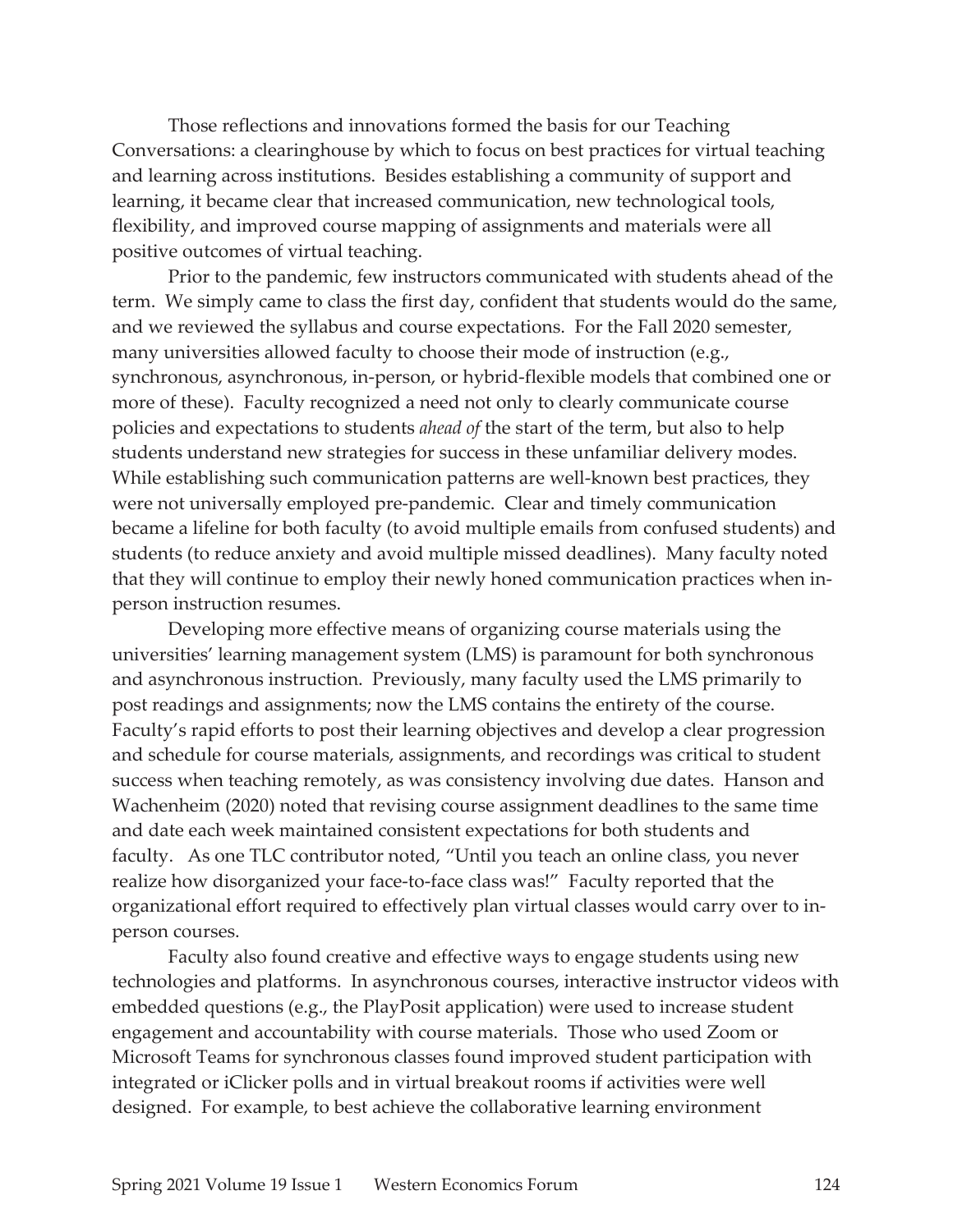Those reflections and innovations formed the basis for our Teaching Conversations: a clearinghouse by which to focus on best practices for virtual teaching and learning across institutions. Besides establishing a community of support and learning, it became clear that increased communication, new technological tools, flexibility, and improved course mapping of assignments and materials were all positive outcomes of virtual teaching.

Prior to the pandemic, few instructors communicated with students ahead of the term. We simply came to class the first day, confident that students would do the same, and we reviewed the syllabus and course expectations. For the Fall 2020 semester, many universities allowed faculty to choose their mode of instruction (e.g., synchronous, asynchronous, in-person, or hybrid-flexible models that combined one or more of these). Faculty recognized a need not only to clearly communicate course policies and expectations to students *ahead of* the start of the term, but also to help students understand new strategies for success in these unfamiliar delivery modes. While establishing such communication patterns are well-known best practices, they were not universally employed pre-pandemic. Clear and timely communication became a lifeline for both faculty (to avoid multiple emails from confused students) and students (to reduce anxiety and avoid multiple missed deadlines). Many faculty noted that they will continue to employ their newly honed communication practices when inperson instruction resumes.

Developing more effective means of organizing course materials using the universities' learning management system (LMS) is paramount for both synchronous and asynchronous instruction. Previously, many faculty used the LMS primarily to post readings and assignments; now the LMS contains the entirety of the course. Faculty's rapid efforts to post their learning objectives and develop a clear progression and schedule for course materials, assignments, and recordings was critical to student success when teaching remotely, as was consistency involving due dates. Hanson and Wachenheim (2020) noted that revising course assignment deadlines to the same time and date each week maintained consistent expectations for both students and faculty. As one TLC contributor noted, "Until you teach an online class, you never realize how disorganized your face-to-face class was!" Faculty reported that the organizational effort required to effectively plan virtual classes would carry over to inperson courses.

Faculty also found creative and effective ways to engage students using new technologies and platforms. In asynchronous courses, interactive instructor videos with embedded questions (e.g., the PlayPosit application) were used to increase student engagement and accountability with course materials. Those who used Zoom or Microsoft Teams for synchronous classes found improved student participation with integrated or iClicker polls and in virtual breakout rooms if activities were well designed. For example, to best achieve the collaborative learning environment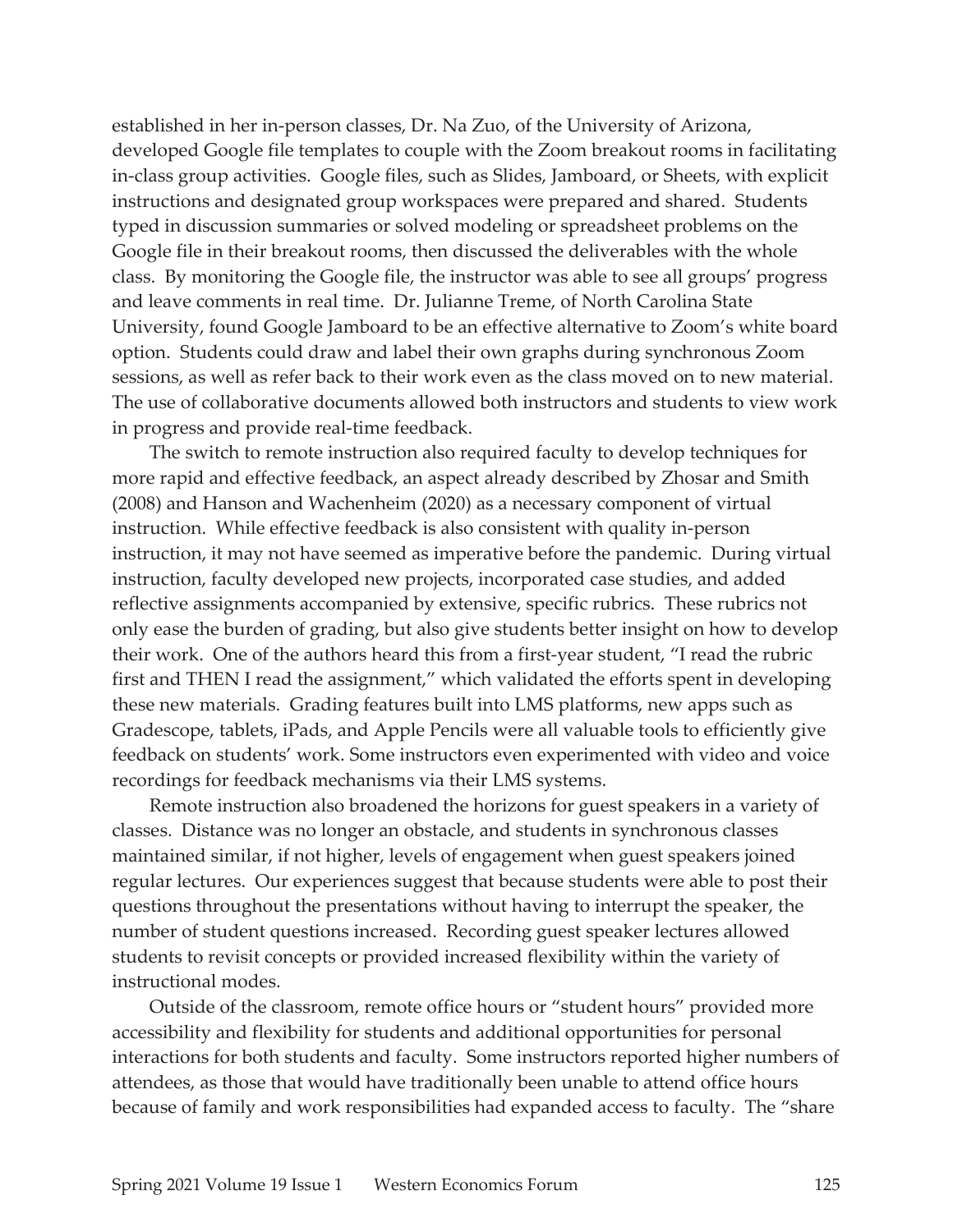established in her in-person classes, Dr. Na Zuo, of the University of Arizona, developed Google file templates to couple with the Zoom breakout rooms in facilitating in-class group activities. Google files, such as Slides, Jamboard, or Sheets, with explicit instructions and designated group workspaces were prepared and shared. Students typed in discussion summaries or solved modeling or spreadsheet problems on the Google file in their breakout rooms, then discussed the deliverables with the whole class. By monitoring the Google file, the instructor was able to see all groups' progress and leave comments in real time. Dr. Julianne Treme, of North Carolina State University, found Google Jamboard to be an effective alternative to Zoom's white board option. Students could draw and label their own graphs during synchronous Zoom sessions, as well as refer back to their work even as the class moved on to new material. The use of collaborative documents allowed both instructors and students to view work in progress and provide real-time feedback.

 The switch to remote instruction also required faculty to develop techniques for more rapid and effective feedback, an aspect already described by Zhosar and Smith (2008) and Hanson and Wachenheim (2020) as a necessary component of virtual instruction. While effective feedback is also consistent with quality in-person instruction, it may not have seemed as imperative before the pandemic. During virtual instruction, faculty developed new projects, incorporated case studies, and added reflective assignments accompanied by extensive, specific rubrics. These rubrics not only ease the burden of grading, but also give students better insight on how to develop their work. One of the authors heard this from a first-year student, "I read the rubric first and THEN I read the assignment," which validated the efforts spent in developing these new materials. Grading features built into LMS platforms, new apps such as Gradescope, tablets, iPads, and Apple Pencils were all valuable tools to efficiently give feedback on students' work. Some instructors even experimented with video and voice recordings for feedback mechanisms via their LMS systems.

 Remote instruction also broadened the horizons for guest speakers in a variety of classes. Distance was no longer an obstacle, and students in synchronous classes maintained similar, if not higher, levels of engagement when guest speakers joined regular lectures. Our experiences suggest that because students were able to post their questions throughout the presentations without having to interrupt the speaker, the number of student questions increased. Recording guest speaker lectures allowed students to revisit concepts or provided increased flexibility within the variety of instructional modes.

 Outside of the classroom, remote office hours or "student hours" provided more accessibility and flexibility for students and additional opportunities for personal interactions for both students and faculty. Some instructors reported higher numbers of attendees, as those that would have traditionally been unable to attend office hours because of family and work responsibilities had expanded access to faculty. The "share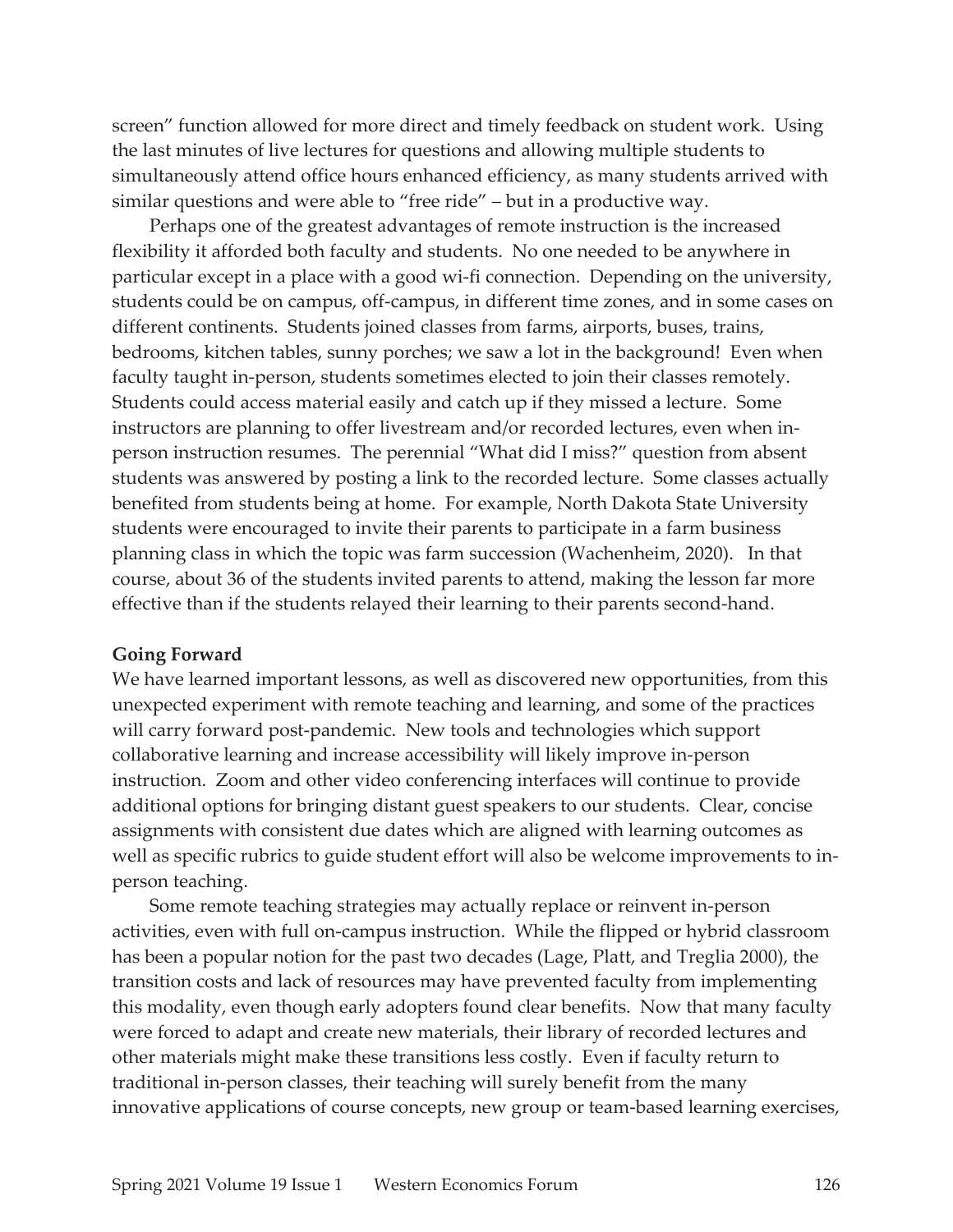screen" function allowed for more direct and timely feedback on student work. Using the last minutes of live lectures for questions and allowing multiple students to simultaneously attend office hours enhanced efficiency, as many students arrived with similar questions and were able to "free ride" – but in a productive way.

 Perhaps one of the greatest advantages of remote instruction is the increased flexibility it afforded both faculty and students. No one needed to be anywhere in particular except in a place with a good wi-fi connection. Depending on the university, students could be on campus, off-campus, in different time zones, and in some cases on different continents. Students joined classes from farms, airports, buses, trains, bedrooms, kitchen tables, sunny porches; we saw a lot in the background! Even when faculty taught in-person, students sometimes elected to join their classes remotely. Students could access material easily and catch up if they missed a lecture. Some instructors are planning to offer livestream and/or recorded lectures, even when inperson instruction resumes. The perennial "What did I miss?" question from absent students was answered by posting a link to the recorded lecture. Some classes actually benefited from students being at home. For example, North Dakota State University students were encouraged to invite their parents to participate in a farm business planning class in which the topic was farm succession (Wachenheim, 2020). In that course, about 36 of the students invited parents to attend, making the lesson far more effective than if the students relayed their learning to their parents second-hand.

#### **Going Forward**

We have learned important lessons, as well as discovered new opportunities, from this unexpected experiment with remote teaching and learning, and some of the practices will carry forward post-pandemic. New tools and technologies which support collaborative learning and increase accessibility will likely improve in-person instruction. Zoom and other video conferencing interfaces will continue to provide additional options for bringing distant guest speakers to our students. Clear, concise assignments with consistent due dates which are aligned with learning outcomes as well as specific rubrics to guide student effort will also be welcome improvements to inperson teaching.

 Some remote teaching strategies may actually replace or reinvent in-person activities, even with full on-campus instruction. While the flipped or hybrid classroom has been a popular notion for the past two decades (Lage, Platt, and Treglia 2000), the transition costs and lack of resources may have prevented faculty from implementing this modality, even though early adopters found clear benefits. Now that many faculty were forced to adapt and create new materials, their library of recorded lectures and other materials might make these transitions less costly. Even if faculty return to traditional in-person classes, their teaching will surely benefit from the many innovative applications of course concepts, new group or team-based learning exercises,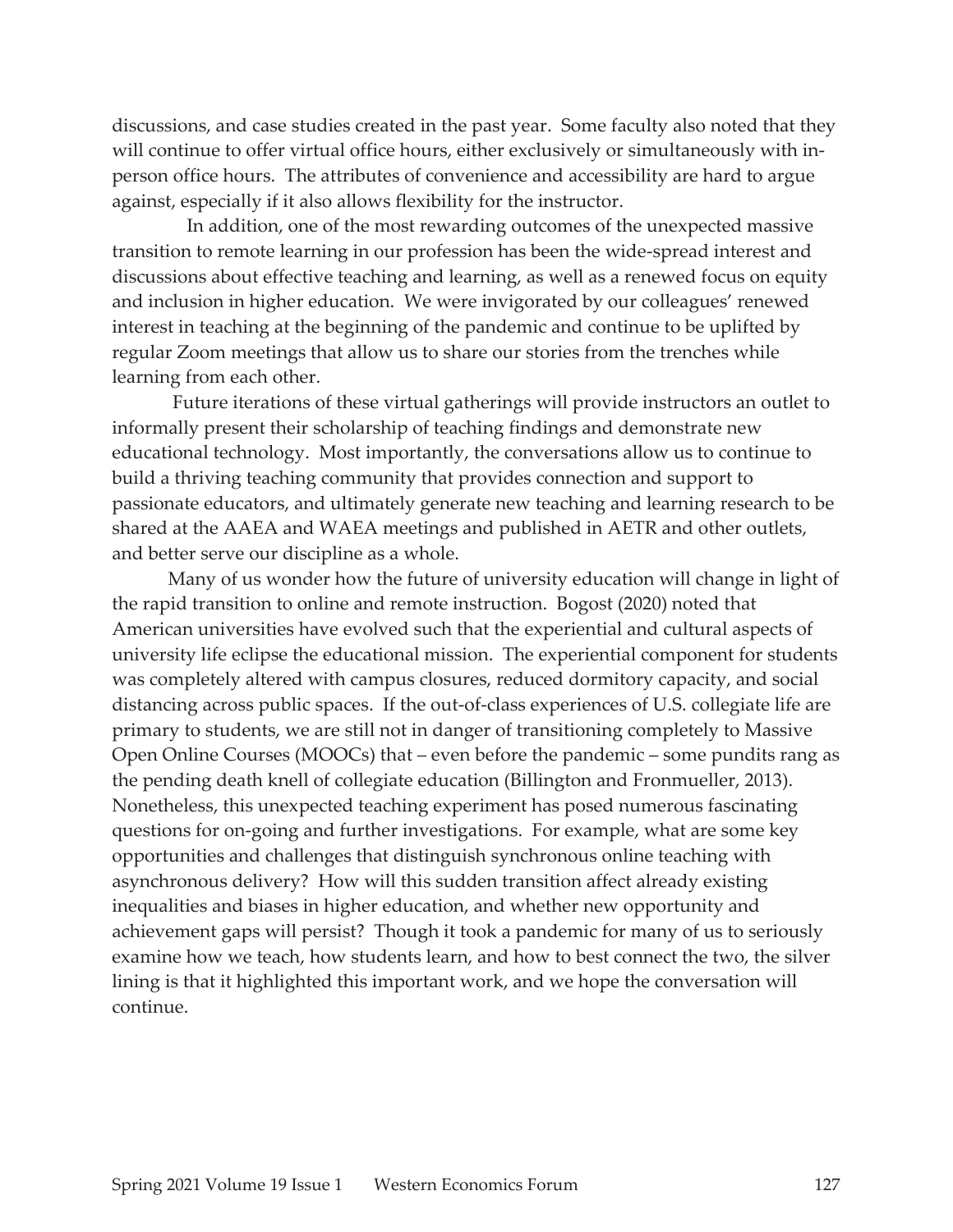discussions, and case studies created in the past year. Some faculty also noted that they will continue to offer virtual office hours, either exclusively or simultaneously with inperson office hours. The attributes of convenience and accessibility are hard to argue against, especially if it also allows flexibility for the instructor.

 In addition, one of the most rewarding outcomes of the unexpected massive transition to remote learning in our profession has been the wide-spread interest and discussions about effective teaching and learning, as well as a renewed focus on equity and inclusion in higher education. We were invigorated by our colleagues' renewed interest in teaching at the beginning of the pandemic and continue to be uplifted by regular Zoom meetings that allow us to share our stories from the trenches while learning from each other.

 Future iterations of these virtual gatherings will provide instructors an outlet to informally present their scholarship of teaching findings and demonstrate new educational technology. Most importantly, the conversations allow us to continue to build a thriving teaching community that provides connection and support to passionate educators, and ultimately generate new teaching and learning research to be shared at the AAEA and WAEA meetings and published in AETR and other outlets, and better serve our discipline as a whole.

 Many of us wonder how the future of university education will change in light of the rapid transition to online and remote instruction. Bogost (2020) noted that American universities have evolved such that the experiential and cultural aspects of university life eclipse the educational mission. The experiential component for students was completely altered with campus closures, reduced dormitory capacity, and social distancing across public spaces. If the out-of-class experiences of U.S. collegiate life are primary to students, we are still not in danger of transitioning completely to Massive Open Online Courses (MOOCs) that – even before the pandemic – some pundits rang as the pending death knell of collegiate education (Billington and Fronmueller, 2013). Nonetheless, this unexpected teaching experiment has posed numerous fascinating questions for on-going and further investigations. For example, what are some key opportunities and challenges that distinguish synchronous online teaching with asynchronous delivery? How will this sudden transition affect already existing inequalities and biases in higher education, and whether new opportunity and achievement gaps will persist? Though it took a pandemic for many of us to seriously examine how we teach, how students learn, and how to best connect the two, the silver lining is that it highlighted this important work, and we hope the conversation will continue.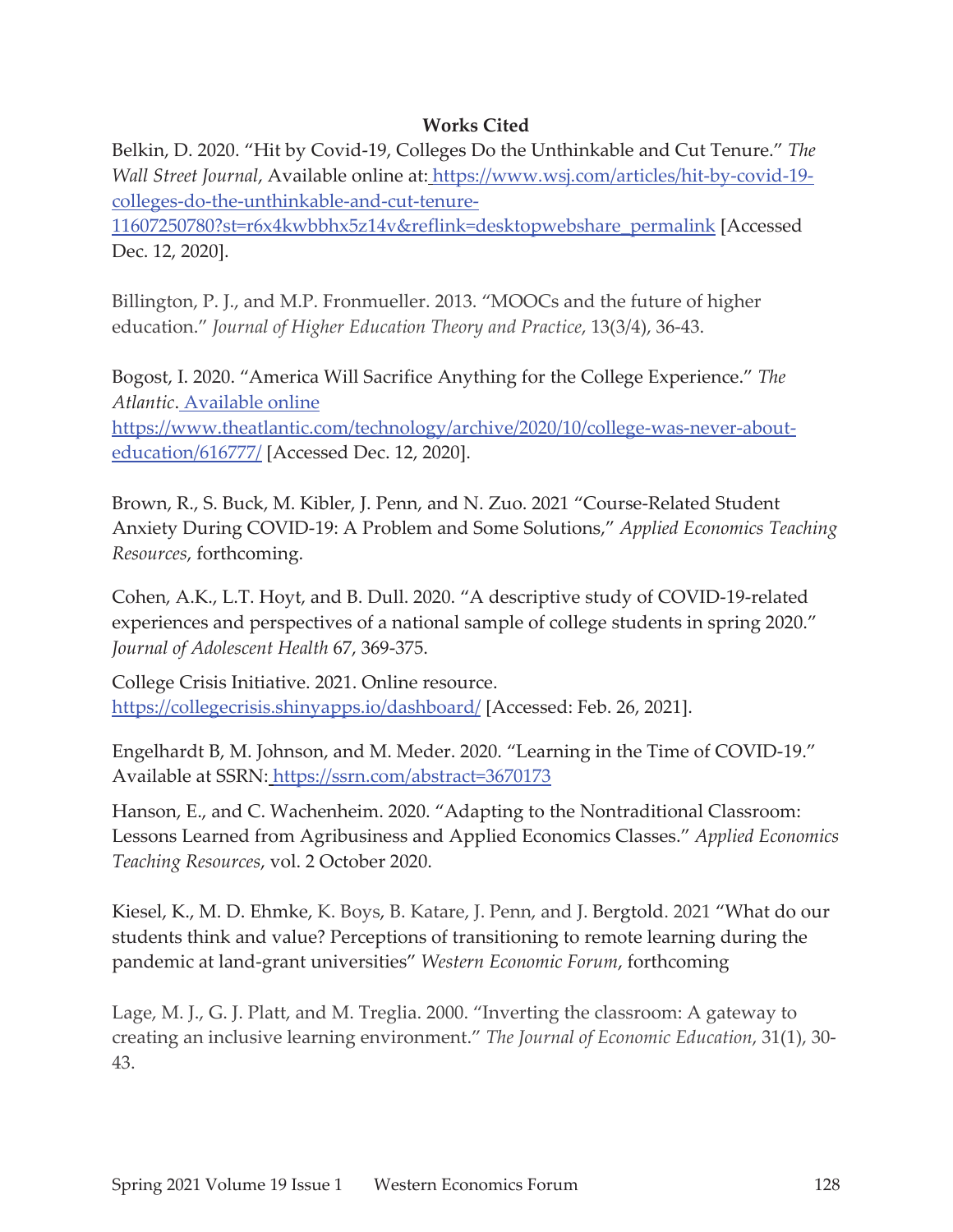## **Works Cited**

Belkin, D. 2020. "Hit by Covid-19, Colleges Do the Unthinkable and Cut Tenure." *The Wall Street Journal*, Available online at: https://www.wsj.com/articles/hit-by-covid-19 colleges-do-the-unthinkable-and-cut-tenure-

11607250780?st=r6x4kwbbhx5z14v&reflink=desktopwebshare\_permalink [Accessed Dec. 12, 2020].

Billington, P. J., and M.P. Fronmueller. 2013. "MOOCs and the future of higher education." *Journal of Higher Education Theory and Practice*, 13(3/4), 36-43.

Bogost, I. 2020. "America Will Sacrifice Anything for the College Experience." *The Atlantic*. Available online

https://www.theatlantic.com/technology/archive/2020/10/college-was-never-abouteducation/616777/ [Accessed Dec. 12, 2020].

Brown, R., S. Buck, M. Kibler, J. Penn, and N. Zuo. 2021 "Course-Related Student Anxiety During COVID-19: A Problem and Some Solutions," *Applied Economics Teaching Resources*, forthcoming.

Cohen, A.K., L.T. Hoyt, and B. Dull. 2020. "A descriptive study of COVID-19-related experiences and perspectives of a national sample of college students in spring 2020." *Journal of Adolescent Health* 67, 369-375.

College Crisis Initiative. 2021. Online resource. https://collegecrisis.shinyapps.io/dashboard/ [Accessed: Feb. 26, 2021].

Engelhardt B, M. Johnson, and M. Meder. 2020. "Learning in the Time of COVID-19." Available at SSRN: https://ssrn.com/abstract=3670173

Hanson, E., and C. Wachenheim. 2020. "Adapting to the Nontraditional Classroom: Lessons Learned from Agribusiness and Applied Economics Classes." *Applied Economics Teaching Resources*, vol. 2 October 2020.

Kiesel, K., M. D. Ehmke, K. Boys, B. Katare, J. Penn, and J. Bergtold. 2021 "What do our students think and value? Perceptions of transitioning to remote learning during the pandemic at land-grant universities" *Western Economic Forum*, forthcoming

Lage, M. J., G. J. Platt, and M. Treglia. 2000. "Inverting the classroom: A gateway to creating an inclusive learning environment." *The Journal of Economic Education*, 31(1), 30- 43.